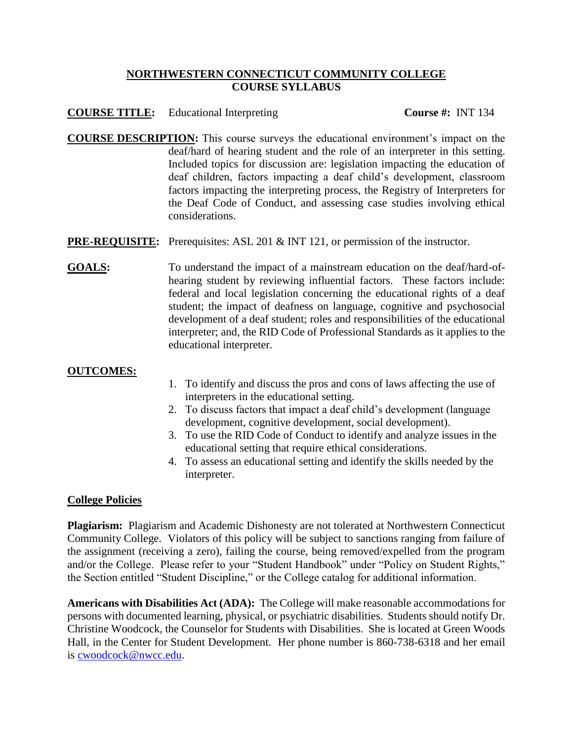## **NORTHWESTERN CONNECTICUT COMMUNITY COLLEGE COURSE SYLLABUS**

## **COURSE TITLE:** Educational Interpreting **Course #:** INT 134

- **COURSE DESCRIPTION:** This course surveys the educational environment's impact on the deaf/hard of hearing student and the role of an interpreter in this setting. Included topics for discussion are: legislation impacting the education of deaf children, factors impacting a deaf child's development, classroom factors impacting the interpreting process, the Registry of Interpreters for the Deaf Code of Conduct, and assessing case studies involving ethical considerations.
- **PRE-REQUISITE:** Prerequisites: ASL 201 & INT 121, or permission of the instructor.
- GOALS: To understand the impact of a mainstream education on the deaf/hard-ofhearing student by reviewing influential factors. These factors include: federal and local legislation concerning the educational rights of a deaf student; the impact of deafness on language, cognitive and psychosocial development of a deaf student; roles and responsibilities of the educational interpreter; and, the RID Code of Professional Standards as it applies to the educational interpreter.

## **OUTCOMES:**

- 1. To identify and discuss the pros and cons of laws affecting the use of interpreters in the educational setting.
- 2. To discuss factors that impact a deaf child's development (language development, cognitive development, social development).
- 3. To use the RID Code of Conduct to identify and analyze issues in the educational setting that require ethical considerations.
- 4. To assess an educational setting and identify the skills needed by the interpreter.

## **College Policies**

**Plagiarism:** Plagiarism and Academic Dishonesty are not tolerated at Northwestern Connecticut Community College. Violators of this policy will be subject to sanctions ranging from failure of the assignment (receiving a zero), failing the course, being removed/expelled from the program and/or the College. Please refer to your "Student Handbook" under "Policy on Student Rights," the Section entitled "Student Discipline," or the College catalog for additional information.

**Americans with Disabilities Act (ADA):** The College will make reasonable accommodations for persons with documented learning, physical, or psychiatric disabilities. Students should notify Dr. Christine Woodcock, the Counselor for Students with Disabilities. She is located at Green Woods Hall, in the Center for Student Development. Her phone number is 860-738-6318 and her email is [cwoodcock@nwcc.edu.](mailto:cwoodcock@nwcc.edu)